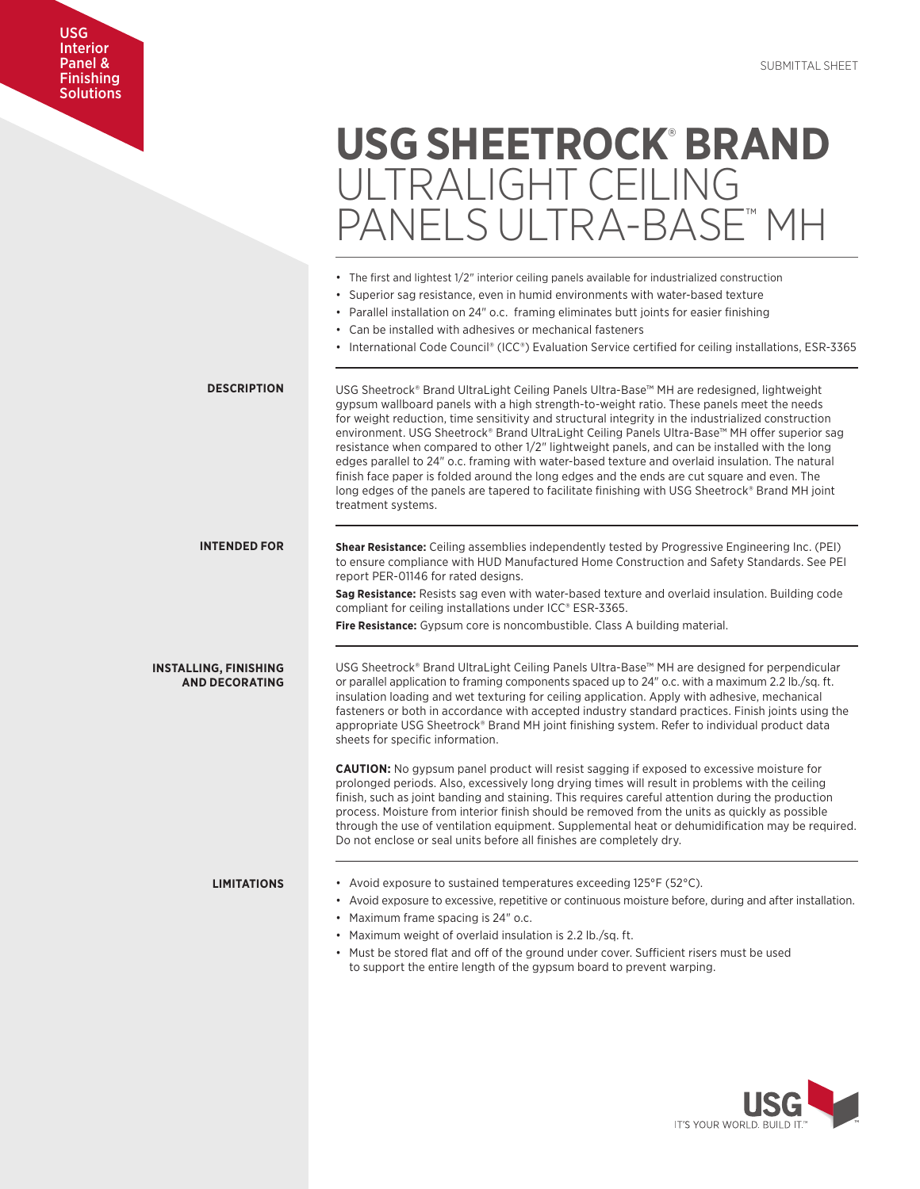# USG Interior Panel & Finishing Solutions

| <b>USG SHEETROCK BRAND</b> |
|----------------------------|
| ULTRALIGHT CEILING         |
| PANFI S UI TRA-BASF" MH    |

|                                                       | • The first and lightest 1/2" interior ceiling panels available for industrialized construction<br>• Superior sag resistance, even in humid environments with water-based texture<br>• Parallel installation on 24" o.c. framing eliminates butt joints for easier finishing<br>• Can be installed with adhesives or mechanical fasteners<br>• International Code Council® (ICC®) Evaluation Service certified for ceiling installations, ESR-3365                                                                                                                                                                                                                                                                                                                                                                         |
|-------------------------------------------------------|----------------------------------------------------------------------------------------------------------------------------------------------------------------------------------------------------------------------------------------------------------------------------------------------------------------------------------------------------------------------------------------------------------------------------------------------------------------------------------------------------------------------------------------------------------------------------------------------------------------------------------------------------------------------------------------------------------------------------------------------------------------------------------------------------------------------------|
| <b>DESCRIPTION</b>                                    | USG Sheetrock® Brand UltraLight Ceiling Panels Ultra-Base™ MH are redesigned, lightweight<br>gypsum wallboard panels with a high strength-to-weight ratio. These panels meet the needs<br>for weight reduction, time sensitivity and structural integrity in the industrialized construction<br>environment. USG Sheetrock® Brand UltraLight Ceiling Panels Ultra-Base™ MH offer superior sag<br>resistance when compared to other 1/2" lightweight panels, and can be installed with the long<br>edges parallel to 24" o.c. framing with water-based texture and overlaid insulation. The natural<br>finish face paper is folded around the long edges and the ends are cut square and even. The<br>long edges of the panels are tapered to facilitate finishing with USG Sheetrock® Brand MH joint<br>treatment systems. |
| <b>INTENDED FOR</b>                                   | <b>Shear Resistance:</b> Ceiling assemblies independently tested by Progressive Engineering Inc. (PEI)<br>to ensure compliance with HUD Manufactured Home Construction and Safety Standards. See PEI<br>report PER-01146 for rated designs.<br>Sag Resistance: Resists sag even with water-based texture and overlaid insulation. Building code<br>compliant for ceiling installations under ICC® ESR-3365.<br>Fire Resistance: Gypsum core is noncombustible. Class A building material.                                                                                                                                                                                                                                                                                                                                  |
| <b>INSTALLING, FINISHING</b><br><b>AND DECORATING</b> | USG Sheetrock® Brand UltraLight Ceiling Panels Ultra-Base™ MH are designed for perpendicular<br>or parallel application to framing components spaced up to 24" o.c. with a maximum 2.2 lb./sq. ft.<br>insulation loading and wet texturing for ceiling application. Apply with adhesive, mechanical<br>fasteners or both in accordance with accepted industry standard practices. Finish joints using the<br>appropriate USG Sheetrock® Brand MH joint finishing system. Refer to individual product data<br>sheets for specific information.                                                                                                                                                                                                                                                                              |
|                                                       | <b>CAUTION:</b> No gypsum panel product will resist sagging if exposed to excessive moisture for<br>prolonged periods. Also, excessively long drying times will result in problems with the ceiling<br>finish, such as joint banding and staining. This requires careful attention during the production<br>process. Moisture from interior finish should be removed from the units as quickly as possible<br>through the use of ventilation equipment. Supplemental heat or dehumidification may be required.<br>Do not enclose or seal units before all finishes are completely dry.                                                                                                                                                                                                                                     |
| <b>LIMITATIONS</b>                                    | • Avoid exposure to sustained temperatures exceeding $125^{\circ}F$ (52 $^{\circ}C$ ).<br>• Avoid exposure to excessive, repetitive or continuous moisture before, during and after installation.<br>• Maximum frame spacing is 24" o.c.<br>• Maximum weight of overlaid insulation is 2.2 lb./sq. ft.<br>• Must be stored flat and off of the ground under cover. Sufficient risers must be used<br>to support the entire length of the gypsum board to prevent warping.                                                                                                                                                                                                                                                                                                                                                  |